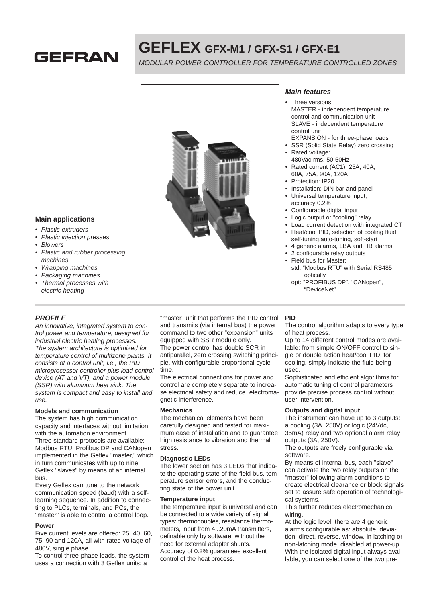

# **GEFLEX GFX-M1 / GFX-S1 / GFX-E1**

MODULAR POWER CONTROLLER FOR TEMPERATURE CONTROLLED ZONES



- Plastic extruders
- Plastic injection presses
- Blowers
- Plastic and rubber processing machines
- Wrapping machines
- Packaging machines
- Thermal processes with electric heating

### **PROFILE**

trol power and temperature, designed for industrial electric heating processes. The system architecture is optimized for temperature control of multizone plants. It consists of a control unit, i.e., the PID microprocessor controller plus load control device (AT and VT), and a power module (SSR) with aluminum heat sink. The system is compact and easy to install and use.

#### **Models and communication**

The system has high communication capacity and interfaces without limitation with the automation environment. Three standard protocols are available: Modbus RTU, Profibus DP and CANopen implemented in the Geflex "master," which in turn communicates with up to nine Geflex "slaves" by means of an internal bus.

Every Geflex can tune to the network communication speed (baud) with a selflearning sequence. In addition to connecting to PLCs, terminals, and PCs, the "master" is able to control a control loop.

#### **Power**

Five current levels are offered: 25, 40, 60, 75, 90 and 120A, all with rated voltage of 480V, single phase.

To control three-phase loads, the system uses a connection with 3 Geflex units: a



### **Main features**

- Three versions: MASTER - independent temperature control and communication unit SLAVE - independent temperature control unit
- EXPANSION for three-phase loads
- SSR (Solid State Relay) zero crossing Rated voltage:
- 480Vac rms, 50-50Hz
- Rated current (AC1): 25A, 40A, 60A, 75A, 90A, 120A
- Protection: IP20
- Installation: DIN bar and panel
- Universal temperature input,
- accuracy 0.2%
- Configurable digital input
- Logic output or "cooling" relay
- Load current detection with integrated CT • Heat/cool PID, selection of cooling fluid,
- self-tuning,auto-tuning, soft-start • 4 generic alarms, LBA and HB alarms
- 
- 2 configurable relay outputs • Field bus for Master:
- std: "Modbus RTU" with Serial RS485 optically
- opt: "PROFIBUS DP", "CANopen", "DeviceNet"

An innovative, integrated system to con-"master" unit that performs the PID control and transmits (via internal bus) the power command to two other "expansion" units equipped with SSR module only. The power control has double SCR in antiparallel, zero crossing switching principle, with configurable proportional cycle time. The electrical connections for power and control are completely separate to increa-

se electrical safety and reduce electromagnetic interference.

### **Mechanics**

The mechanical elements have been carefully designed and tested for maximum ease of installation and to guarantee high resistance to vibration and thermal stress.

#### **Diagnostic LEDs**

The lower section has 3 LEDs that indicate the operating state of the field bus, temperature sensor errors, and the conducting state of the power unit.

#### **Temperature input**

The temperature input is universal and can be connected to a wide variety of signal types: thermocouples, resistance thermometers, input from 4...20mA transmitters, definable only by software, without the need for external adapter shunts. Accuracy of 0.2% guarantees excellent control of the heat process.

#### **PID**

The control algorithm adapts to every type of heat process.

Up to 14 different control modes are available: from simple ON/OFF control to single or double action heat/cool PID; for cooling, simply indicate the fluid being used.

Sophisticated and efficient algorithms for automatic tuning of control parameters provide precise process control without user intervention.

### **Outputs and digital input**

The instrument can have up to 3 outputs: a cooling (3A, 250V) or logic (24Vdc, 35mA) relay and two optional alarm relay outputs (3A, 250V).

The outputs are freely configurable via software.

By means of internal bus, each "slave" can activate the two relay outputs on the "master" following alarm conditions to create electrical clearance or block signals set to assure safe operation of technological systems.

This further reduces electromechanical wiring.

At the logic level, there are 4 generic alarms configurable as: absolute, deviation, direct, reverse, window, in latching or non-latching mode, disabled at power-up. With the isolated digital input always available, you can select one of the two pre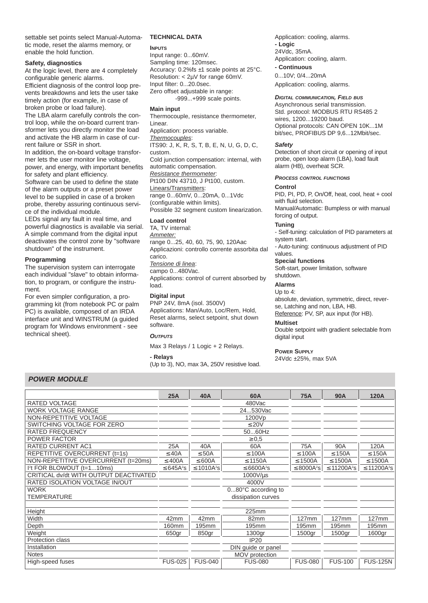settable set points select Manual-Automatic mode, reset the alarms memory, or enable the hold function.

#### **Safety, diagnostics**

At the logic level, there are 4 completely configurable generic alarms.

Efficient diagnosis of the control loop prevents breakdowns and lets the user take timely action (for example, in case of broken probe or load failure).

The LBA alarm carefully controls the control loop, while the on-board current transformer lets you directly monitor the load and activate the HB alarm in case of current failure or SSR in short.

In addition, the on-board voltage transformer lets the user monitor line voltage, power, and energy, with important benefits for safety and plant efficiency.

Software can be used to define the state of the alarm outputs or a preset power level to be supplied in case of a broken probe, thereby assuring continuous service of the individual module.

LEDs signal any fault in real time, and powerful diagnostics is available via serial. A simple command from the digital input deactivates the control zone by "software shutdown" of the instrument.

#### **Programming**

The supervision system can interrogate each individual "slave" to obtain information, to program, or configure the instrument.

For even simpler configuration, a programming kit (from notebook PC or palm PC) is available, composed of an IRDA interface unit and WINSTRUM (a guided program for Windows environment - see technical sheet).

#### **TECHNICAL DATA**

**INPUTS**

Input range: 0...60mV. Sampling time: 120msec. Accuracy: 0.2%fs ±1 scale points at 25°C. Resolution: < 2µV for range 60mV. Input filter: 0...20.0sec. Zero offset adjustable in range: -999...+999 scale points.

#### **Main input**

Thermocouple, resistance thermometer, Linear. Application: process variable. Thermocouples: ITS90: J, K, R, S, T, B, E, N, U, G, D, C, custom. Cold junction compensation: internal, with automatic compensation. Resistance thermometer. Pt100 DIN 43710, J Pt100, custom. Linears/Transmitters: range 0...60mV, 0...20mA, 0...1Vdc

(configurable within limits). Possible 32 segment custom linearization.

#### **Load control**

TA, TV internal: Ammeter: range 0...25, 40, 60, 75, 90, 120Aac Applicazioni: controllo corrente assorbita dal carico. Tensione di linea: campo 0...480Vac. Applications: control of current absorbed by load.

#### **Digital input**

PNP 24V, 8mA (isol. 3500V) Applications: Man/Auto, Loc/Rem, Hold, Reset alarms, select setpoint, shut down software.

#### **OUTPUTS**

Max 3 Relays / 1 Logic + 2 Relays.

#### **- Relays**

(Up to 3), NO, max 3A, 250V resistive load.

Application: cooling, alarms. **- Logic** 24Vdc, 35mA. Application: cooling, alarm.

**- Continuous** 0...10V; 0/4...20mA

Application: cooling, alarms.

#### **DIGITAL COMMUNICATION, FIELD BUS**

Asynchronous serial transmission. Std. protocol: MODBUS RTU RS485 2 wires, 1200...19200 baud. Optional protocols: CAN OPEN 10K...1M bit/sec, PROFIBUS DP 9,6...12Mbit/sec.

#### **Safety**

Detection of short circuit or opening of input probe, open loop alarm (LBA), load fault alarm (HB), overheat SCR.

#### **PROCESS CONTROL FUNCTIONS**

#### **Control**

PID, PI, PD, P, On/Off, heat, cool, heat + cool with fluid selection.

Manual/Automatic: Bumpless or with manual forcing of output.

#### **Tuning**

- Self-tuning: calculation of PID parameters at system start.

- Auto-tuning: continuous adjustment of PID values.

#### **Special functions**

Soft-start, power limitation, software shutdown.

#### **Alarms**

#### Up to 4:

absolute, deviation, symmetric, direct, reverse, Latching and non, LBA, HB. Reference: PV, SP, aux input (for HB).

## **Multiset**

Double setpoint with gradient selectable from digital input

#### **POWER SUPPLY**

24Vdc ±25%, max 5VA

### **POWER MODULE**

|                                        | 25A            | 40A             | 60A                         | <b>75A</b>                  | <b>90A</b>                   | <b>120A</b>                  |
|----------------------------------------|----------------|-----------------|-----------------------------|-----------------------------|------------------------------|------------------------------|
| <b>RATED VOLTAGE</b>                   |                |                 | 480Vac                      |                             |                              |                              |
| <b>WORK VOLTAGE RANGE</b>              |                |                 | 24530Vac                    |                             |                              |                              |
| NON-REPETITIVE VOLTAGE                 |                |                 | 1200Vp                      |                             |                              |                              |
| SWITCHING VOLTAGE FOR ZERO             |                |                 | $\leq 20V$                  |                             |                              |                              |
| <b>RATED FREQUENCY</b>                 |                |                 | 5060Hz                      |                             |                              |                              |
| <b>POWER FACTOR</b>                    |                |                 | $\geq 0.5$                  |                             |                              |                              |
| <b>RATED CURRENT AC1</b>               | 25A            | 40A             | 60A                         | 75A                         | 90A                          | 120A                         |
| REPETITIVE OVERCURRENT (t=1s)          | $\leq$ 40A     | $\leq$ 50A      | $\leq 100A$                 | $\leq 100A$                 | $\leq$ 150A                  | $\leq$ 150A                  |
| NON-REPETITIVE OVERCURRENT (t=20ms)    | $\leq 400A$    | $\leq 600A$     | $\leq$ 1150A                | $\leq$ 1500A                | $\leq$ 1500A                 | $\leq$ 1500A                 |
| $I2t$ FOR BLOWOUT $(t=110ms)$          | ≤ 645 $A^2$ s  | $\leq 1010A^2s$ | $\leq$ 6600A <sup>2</sup> S | $\leq$ 8000A <sup>2</sup> S | $\leq$ 11200A <sup>2</sup> s | $\leq$ 11200A <sup>2</sup> s |
| CRITICAL dv/dt WITH OUTPUT DEACTIVATED |                |                 | 1000V/µs                    |                             |                              |                              |
| RATED ISOLATION VOLTAGE IN/OUT         |                |                 | 4000V                       |                             |                              |                              |
| <b>WORK</b>                            |                |                 | 080°C according to          |                             |                              |                              |
| <b>TEMPERATURE</b>                     |                |                 | dissipation curves          |                             |                              |                              |
|                                        |                |                 |                             |                             |                              |                              |
| Height                                 |                |                 | 225mm                       |                             |                              |                              |
| Width                                  | 42mm           | 42mm            | 82mm                        | $127$ mm                    | $127$ mm                     | $127$ mm                     |
| Depth                                  | <b>160mm</b>   | 195mm           | 195mm                       | 195mm                       | 195mm                        | 195mm                        |
| Weight                                 | 650gr          | 850gr           | 1300gr                      | 1500gr                      | 1500gr                       | 1600gr                       |
| Protection class                       |                |                 | <b>IP20</b>                 |                             |                              |                              |
| Installation                           |                |                 | DIN guide or panel          |                             |                              |                              |
| <b>Notes</b>                           |                |                 | MOV protection              |                             |                              |                              |
| High-speed fuses                       | <b>FUS-025</b> | <b>FUS-040</b>  | <b>FUS-080</b>              | <b>FUS-080</b>              | <b>FUS-100</b>               | <b>FUS-125N</b>              |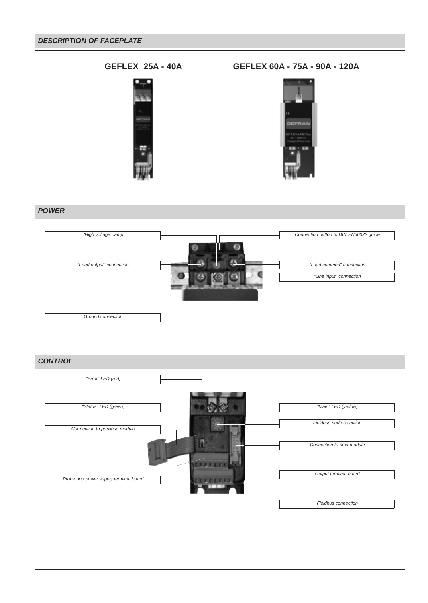### **DESCRIPTION OF FACEPLATE**

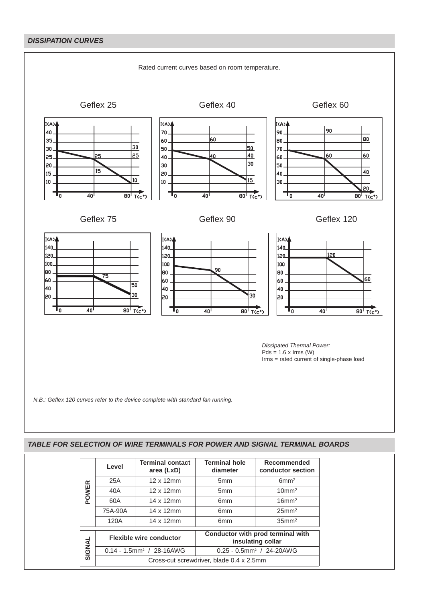# **DISSIPATION CURVES**



|            | Level                          | <b>Terminal contact</b><br>area (LxD)    | <b>Terminal hole</b><br>diameter                       | Recommended<br>conductor section |  |
|------------|--------------------------------|------------------------------------------|--------------------------------------------------------|----------------------------------|--|
| œ<br>POWEI | 25A                            | $12 \times 12$ mm                        | 5 <sub>mm</sub>                                        | 6mm <sup>2</sup>                 |  |
|            | 40A                            | 12 x 12mm                                | 5 <sub>mm</sub>                                        | $10 \text{mm}^2$                 |  |
|            | 60A                            | 14 x 12mm                                | 6 <sub>mm</sub>                                        | $16$ mm <sup>2</sup>             |  |
|            | 75A-90A                        | 14 x 12mm                                | 6 <sub>mm</sub>                                        | $25$ mm <sup>2</sup>             |  |
|            | 120A                           | 14 x 12mm                                | 6 <sub>mm</sub>                                        | $35$ mm $2$                      |  |
|            | <b>Flexible wire conductor</b> |                                          | Conductor with prod terminal with<br>insulating collar |                                  |  |
| SIGNAL     |                                | $0.14 - 1.5$ mm <sup>2</sup> / 28-16AWG  | $0.25 - 0.5$ mm <sup>2</sup> / 24-20AWG                |                                  |  |
|            |                                | Cross-cut screwdriver, blade 0.4 x 2.5mm |                                                        |                                  |  |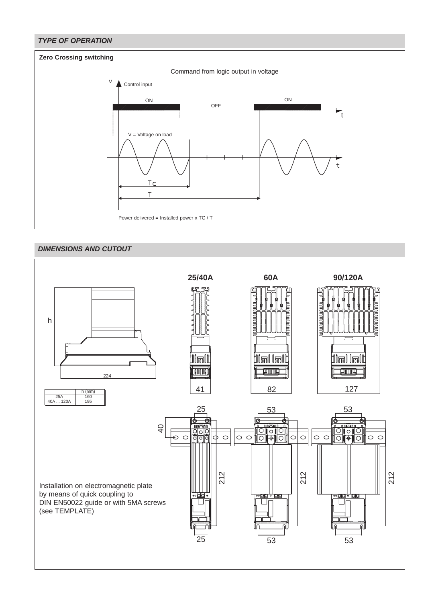

# **DIMENSIONS AND CUTOUT**

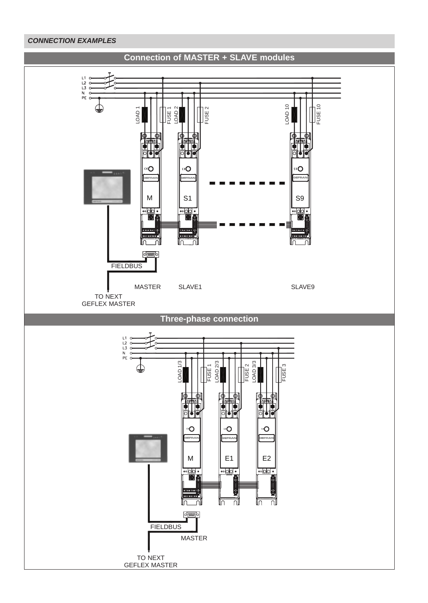### **CONNECTION EXAMPLES**

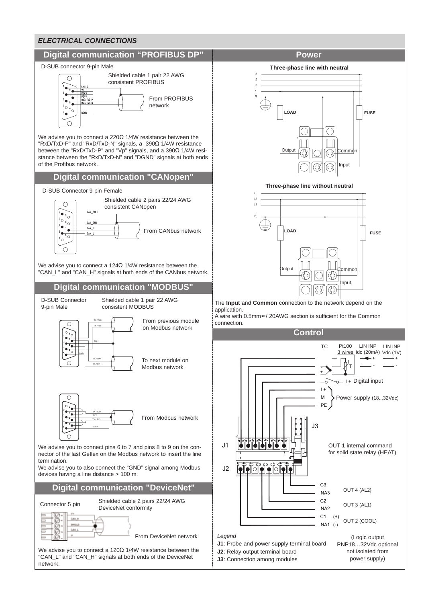

We advise you to connect a 120Ω 1/4W resistance between the "CAN\_L" and "CAN\_H" signals at both ends of the DeviceNet network.

**Three-phase line with neutral**



**Three-phase line without neutral**



The **Input** and **Common** connection to the network depend on the

A wire with 0.5mm≈ / 20AWG section is sufficient for the Common